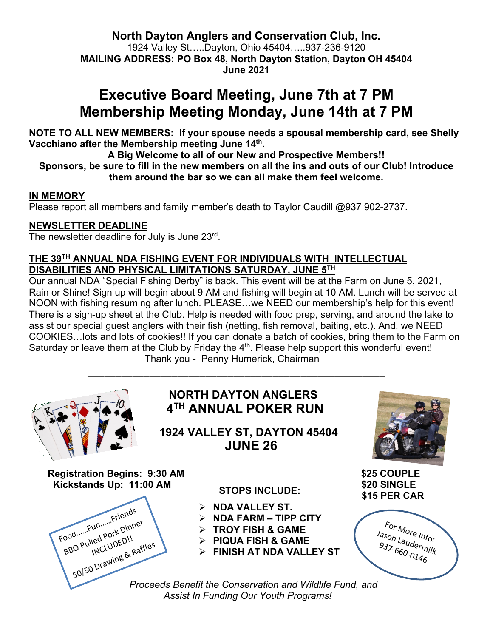**North Dayton Anglers and Conservation Club, Inc.** 1924 Valley St…..Dayton, Ohio 45404…..937-236-9120 **MAILING ADDRESS: PO Box 48, North Dayton Station, Dayton OH 45404 June 2021**

# **Executive Board Meeting, June 7th at 7 PM Membership Meeting Monday, June 14th at 7 PM**

**NOTE TO ALL NEW MEMBERS: If your spouse needs a spousal membership card, see Shelly Vacchiano after the Membership meeting June 14th.**

**A Big Welcome to all of our New and Prospective Members!!**

**Sponsors, be sure to fill in the new members on all the ins and outs of our Club! Introduce them around the bar so we can all make them feel welcome.** 

### **IN MEMORY**

Please report all members and family member's death to Taylor Caudill @937 902-2737.

#### **NEWSLETTER DEADLINE**

The newsletter deadline for July is June 23rd.

### **THE 39TH ANNUAL NDA FISHING EVENT FOR INDIVIDUALS WITH INTELLECTUAL DISABILITIES AND PHYSICAL LIMITATIONS SATURDAY, JUNE 5TH**

Our annual NDA "Special Fishing Derby" is back. This event will be at the Farm on June 5, 2021, Rain or Shine! Sign up will begin about 9 AM and fishing will begin at 10 AM. Lunch will be served at NOON with fishing resuming after lunch. PLEASE…we NEED our membership's help for this event! There is a sign-up sheet at the Club. Help is needed with food prep, serving, and around the lake to assist our special guest anglers with their fish (netting, fish removal, baiting, etc.). And, we NEED COOKIES…lots and lots of cookies!! If you can donate a batch of cookies, bring them to the Farm on Saturday or leave them at the Club by Friday the  $4<sup>th</sup>$ . Please help support this wonderful event! Thank you - Penny Humerick, Chairman

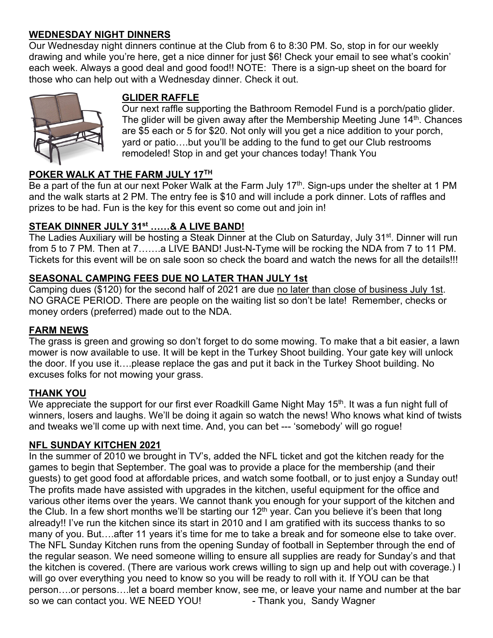## **WEDNESDAY NIGHT DINNERS**

Our Wednesday night dinners continue at the Club from 6 to 8:30 PM. So, stop in for our weekly drawing and while you're here, get a nice dinner for just \$6! Check your email to see what's cookin' each week. Always a good deal and good food!! NOTE: There is a sign-up sheet on the board for those who can help out with a Wednesday dinner. Check it out.



## **GLIDER RAFFLE**

 Our next raffle supporting the Bathroom Remodel Fund is a porch/patio glider. The glider will be given away after the Membership Meeting June 14<sup>th</sup>. Chances are \$5 each or 5 for \$20. Not only will you get a nice addition to your porch, yard or patio….but you'll be adding to the fund to get our Club restrooms remodeled! Stop in and get your chances today! Thank You

## **POKER WALK AT THE FARM JULY 17TH**

Be a part of the fun at our next Poker Walk at the Farm July  $17<sup>th</sup>$ . Sign-ups under the shelter at 1 PM and the walk starts at 2 PM. The entry fee is \$10 and will include a pork dinner. Lots of raffles and prizes to be had. Fun is the key for this event so come out and join in!

## **STEAK DINNER JULY 31st ……& A LIVE BAND!**

The Ladies Auxiliary will be hosting a Steak Dinner at the Club on Saturday, July 31<sup>st</sup>. Dinner will run from 5 to 7 PM. Then at 7…….a LIVE BAND! Just-N-Tyme will be rocking the NDA from 7 to 11 PM. Tickets for this event will be on sale soon so check the board and watch the news for all the details!!!

## **SEASONAL CAMPING FEES DUE NO LATER THAN JULY 1st**

Camping dues (\$120) for the second half of 2021 are due no later than close of business July 1st. NO GRACE PERIOD. There are people on the waiting list so don't be late! Remember, checks or money orders (preferred) made out to the NDA.

### **FARM NEWS**

The grass is green and growing so don't forget to do some mowing. To make that a bit easier, a lawn mower is now available to use. It will be kept in the Turkey Shoot building. Your gate key will unlock the door. If you use it….please replace the gas and put it back in the Turkey Shoot building. No excuses folks for not mowing your grass.

### **THANK YOU**

We appreciate the support for our first ever Roadkill Game Night May 15<sup>th</sup>. It was a fun night full of winners, losers and laughs. We'll be doing it again so watch the news! Who knows what kind of twists and tweaks we'll come up with next time. And, you can bet --- 'somebody' will go rogue!

### **NFL SUNDAY KITCHEN 2021**

In the summer of 2010 we brought in TV's, added the NFL ticket and got the kitchen ready for the games to begin that September. The goal was to provide a place for the membership (and their guests) to get good food at affordable prices, and watch some football, or to just enjoy a Sunday out! The profits made have assisted with upgrades in the kitchen, useful equipment for the office and various other items over the years. We cannot thank you enough for your support of the kitchen and the Club. In a few short months we'll be starting our  $12<sup>th</sup>$  year. Can you believe it's been that long already!! I've run the kitchen since its start in 2010 and I am gratified with its success thanks to so many of you. But….after 11 years it's time for me to take a break and for someone else to take over. The NFL Sunday Kitchen runs from the opening Sunday of football in September through the end of the regular season. We need someone willing to ensure all supplies are ready for Sunday's and that the kitchen is covered. (There are various work crews willing to sign up and help out with coverage.) I will go over everything you need to know so you will be ready to roll with it. If YOU can be that person….or persons….let a board member know, see me, or leave your name and number at the bar so we can contact you. WE NEED YOU! - Thank you, Sandy Wagner